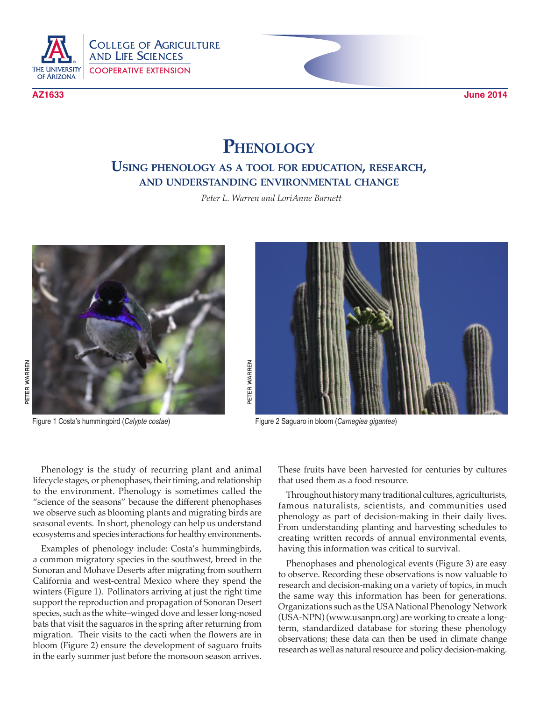

COLLEGE OF AGRICULTURE AND LIFE SCIENCES COOPERATIVE EXTENSION

**AZ1633 June 2014**

## **Phenology**

## **Using phenology as a tool for education, research, and understanding environmental change**

*Peter L. Warren and LoriAnne Barnett*





Phenology is the study of recurring plant and animal lifecycle stages, or phenophases, their timing, and relationship to the environment. Phenology is sometimes called the "science of the seasons" because the different phenophases we observe such as blooming plants and migrating birds are seasonal events. In short, phenology can help us understand ecosystems and species interactions for healthy environments.

Examples of phenology include: Costa's hummingbirds, a common migratory species in the southwest, breed in the Sonoran and Mohave Deserts after migrating from southern California and west-central Mexico where they spend the winters (Figure 1). Pollinators arriving at just the right time support the reproduction and propagation of Sonoran Desert species, such as the white–winged dove and lesser long-nosed bats that visit the saguaros in the spring after returning from migration. Their visits to the cacti when the flowers are in bloom (Figure 2) ensure the development of saguaro fruits in the early summer just before the monsoon season arrives.

These fruits have been harvested for centuries by cultures that used them as a food resource.

Throughout history many traditional cultures, agriculturists, famous naturalists, scientists, and communities used phenology as part of decision-making in their daily lives. From understanding planting and harvesting schedules to creating written records of annual environmental events, having this information was critical to survival.

Phenophases and phenological events (Figure 3) are easy to observe. Recording these observations is now valuable to research and decision-making on a variety of topics, in much the same way this information has been for generations. Organizations such as the USA National Phenology Network (USA-NPN) (www.usanpn.org) are working to create a longterm, standardized database for storing these phenology observations; these data can then be used in climate change research as well as natural resource and policy decision-making.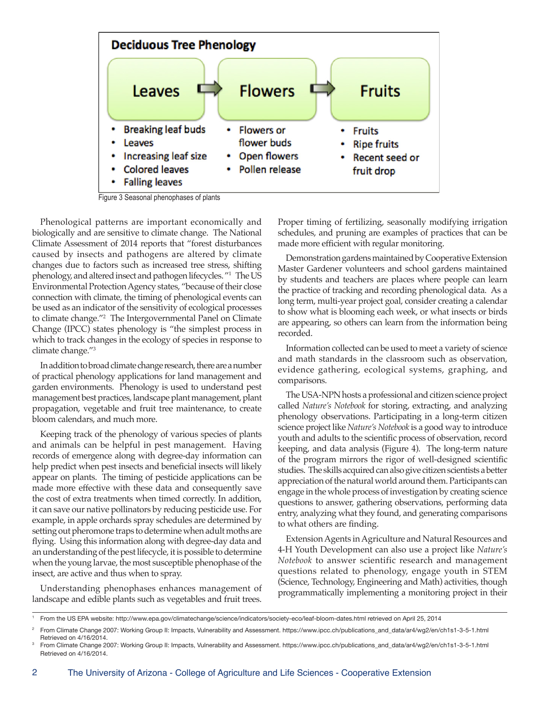

Figure 3 Seasonal phenophases of plants

Phenological patterns are important economically and biologically and are sensitive to climate change. The National Climate Assessment of 2014 reports that "forest disturbances caused by insects and pathogens are altered by climate changes due to factors such as increased tree stress, shifting phenology, and altered insect and pathogen lifecycles. "1 The US Environmental Protection Agency states, "because of their close connection with climate, the timing of phenological events can be used as an indicator of the sensitivity of ecological processes to climate change."2 The Intergovernmental Panel on Climate Change (IPCC) states phenology is "the simplest process in which to track changes in the ecology of species in response to climate change."3

In addition to broad climate change research, there are a number of practical phenology applications for land management and garden environments. Phenology is used to understand pest management best practices, landscape plant management, plant propagation, vegetable and fruit tree maintenance, to create bloom calendars, and much more.

Keeping track of the phenology of various species of plants and animals can be helpful in pest management. Having records of emergence along with degree-day information can help predict when pest insects and beneficial insects will likely appear on plants. The timing of pesticide applications can be made more effective with these data and consequently save the cost of extra treatments when timed correctly. In addition, it can save our native pollinators by reducing pesticide use. For example, in apple orchards spray schedules are determined by setting out pheromone traps to determine when adult moths are flying. Using this information along with degree-day data and an understanding of the pest lifecycle, it is possible to determine when the young larvae, the most susceptible phenophase of the insect, are active and thus when to spray.

Understanding phenophases enhances management of landscape and edible plants such as vegetables and fruit trees.

Proper timing of fertilizing, seasonally modifying irrigation schedules, and pruning are examples of practices that can be made more efficient with regular monitoring.

Demonstration gardens maintained by Cooperative Extension Master Gardener volunteers and school gardens maintained by students and teachers are places where people can learn the practice of tracking and recording phenological data. As a long term, multi-year project goal, consider creating a calendar to show what is blooming each week, or what insects or birds are appearing, so others can learn from the information being recorded.

Information collected can be used to meet a variety of science and math standards in the classroom such as observation, evidence gathering, ecological systems, graphing, and comparisons.

The USA-NPN hosts a professional and citizen science project called *Nature's Notebook* for storing, extracting, and analyzing phenology observations. Participating in a long-term citizen science project like *Nature's Notebook* is a good way to introduce youth and adults to the scientific process of observation, record keeping, and data analysis (Figure 4). The long-term nature of the program mirrors the rigor of well-designed scientific studies. The skills acquired can also give citizen scientists a better appreciation of the natural world around them. Participants can engage in the whole process of investigation by creating science questions to answer, gathering observations, performing data entry, analyzing what they found, and generating comparisons to what others are finding.

Extension Agents in Agriculture and Natural Resources and 4-H Youth Development can also use a project like *Nature's Notebook* to answer scientific research and management questions related to phenology, engage youth in STEM (Science, Technology, Engineering and Math) activities, though programmatically implementing a monitoring project in their

<sup>1</sup> From the US EPA website: http://www.epa.gov/climatechange/science/indicators/society-eco/leaf-bloom-dates.html retrieved on April 25, 2014

<sup>2</sup> From Climate Change 2007: Working Group II: Impacts, Vulnerability and Assessment. https://www.ipcc.ch/publications\_and\_data/ar4/wg2/en/ch1s1-3-5-1.html Retrieved on 4/16/2014.

<sup>3</sup> From Climate Change 2007: Working Group II: Impacts, Vulnerability and Assessment. https://www.ipcc.ch/publications\_and\_data/ar4/wg2/en/ch1s1-3-5-1.html Retrieved on 4/16/2014.